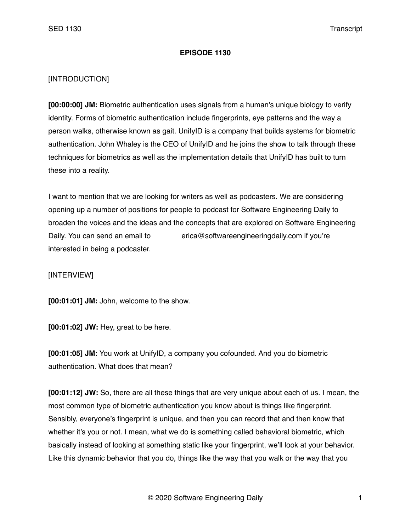## **EPISODE 1130**

## [INTRODUCTION]

**[00:00:00] JM:** Biometric authentication uses signals from a human's unique biology to verify identity. Forms of biometric authentication include fingerprints, eye patterns and the way a person walks, otherwise known as gait. UnifyID is a company that builds systems for biometric authentication. John Whaley is the CEO of UnifyID and he joins the show to talk through these techniques for biometrics as well as the implementation details that UnifyID has built to turn these into a reality.

I want to mention that we are looking for writers as well as podcasters. We are considering opening up a number of positions for people to podcast for Software Engineering Daily to broaden the voices and the ideas and the concepts that are explored on Software Engineering Daily. You can send an email to erica@softwareengineeringdaily.com if you're interested in being a podcaster.

## [INTERVIEW]

**[00:01:01] JM:** John, welcome to the show.

**[00:01:02] JW:** Hey, great to be here.

**[00:01:05] JM:** You work at UnifyID, a company you cofounded. And you do biometric authentication. What does that mean?

**[00:01:12] JW:** So, there are all these things that are very unique about each of us. I mean, the most common type of biometric authentication you know about is things like fingerprint. Sensibly, everyone's fingerprint is unique, and then you can record that and then know that whether it's you or not. I mean, what we do is something called behavioral biometric, which basically instead of looking at something static like your fingerprint, we'll look at your behavior. Like this dynamic behavior that you do, things like the way that you walk or the way that you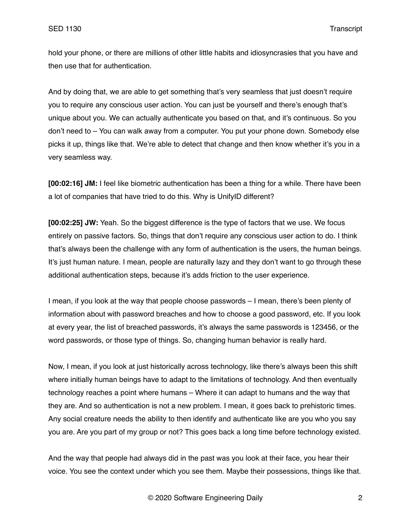hold your phone, or there are millions of other little habits and idiosyncrasies that you have and then use that for authentication.

And by doing that, we are able to get something that's very seamless that just doesn't require you to require any conscious user action. You can just be yourself and there's enough that's unique about you. We can actually authenticate you based on that, and it's continuous. So you don't need to – You can walk away from a computer. You put your phone down. Somebody else picks it up, things like that. We're able to detect that change and then know whether it's you in a very seamless way.

**[00:02:16] JM:** I feel like biometric authentication has been a thing for a while. There have been a lot of companies that have tried to do this. Why is UnifyID different?

**[00:02:25] JW:** Yeah. So the biggest difference is the type of factors that we use. We focus entirely on passive factors. So, things that don't require any conscious user action to do. I think that's always been the challenge with any form of authentication is the users, the human beings. It's just human nature. I mean, people are naturally lazy and they don't want to go through these additional authentication steps, because it's adds friction to the user experience.

I mean, if you look at the way that people choose passwords – I mean, there's been plenty of information about with password breaches and how to choose a good password, etc. If you look at every year, the list of breached passwords, it's always the same passwords is 123456, or the word passwords, or those type of things. So, changing human behavior is really hard.

Now, I mean, if you look at just historically across technology, like there's always been this shift where initially human beings have to adapt to the limitations of technology. And then eventually technology reaches a point where humans – Where it can adapt to humans and the way that they are. And so authentication is not a new problem. I mean, it goes back to prehistoric times. Any social creature needs the ability to then identify and authenticate like are you who you say you are. Are you part of my group or not? This goes back a long time before technology existed.

And the way that people had always did in the past was you look at their face, you hear their voice. You see the context under which you see them. Maybe their possessions, things like that.

© 2020 Software Engineering Daily 2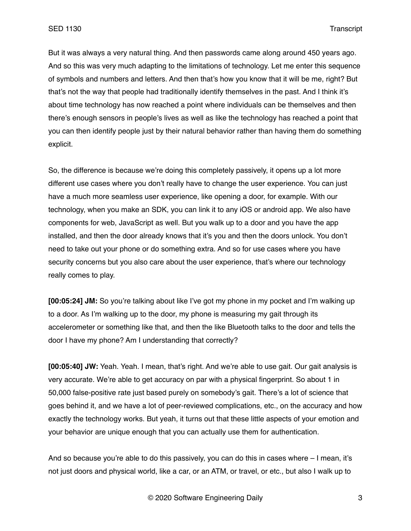But it was always a very natural thing. And then passwords came along around 450 years ago. And so this was very much adapting to the limitations of technology. Let me enter this sequence of symbols and numbers and letters. And then that's how you know that it will be me, right? But that's not the way that people had traditionally identify themselves in the past. And I think it's about time technology has now reached a point where individuals can be themselves and then there's enough sensors in people's lives as well as like the technology has reached a point that you can then identify people just by their natural behavior rather than having them do something explicit.

So, the difference is because we're doing this completely passively, it opens up a lot more different use cases where you don't really have to change the user experience. You can just have a much more seamless user experience, like opening a door, for example. With our technology, when you make an SDK, you can link it to any iOS or android app. We also have components for web, JavaScript as well. But you walk up to a door and you have the app installed, and then the door already knows that it's you and then the doors unlock. You don't need to take out your phone or do something extra. And so for use cases where you have security concerns but you also care about the user experience, that's where our technology really comes to play.

**[00:05:24] JM:** So you're talking about like I've got my phone in my pocket and I'm walking up to a door. As I'm walking up to the door, my phone is measuring my gait through its accelerometer or something like that, and then the like Bluetooth talks to the door and tells the door I have my phone? Am I understanding that correctly?

**[00:05:40] JW:** Yeah. Yeah. I mean, that's right. And we're able to use gait. Our gait analysis is very accurate. We're able to get accuracy on par with a physical fingerprint. So about 1 in 50,000 false-positive rate just based purely on somebody's gait. There's a lot of science that goes behind it, and we have a lot of peer-reviewed complications, etc., on the accuracy and how exactly the technology works. But yeah, it turns out that these little aspects of your emotion and your behavior are unique enough that you can actually use them for authentication.

And so because you're able to do this passively, you can do this in cases where – I mean, it's not just doors and physical world, like a car, or an ATM, or travel, or etc., but also I walk up to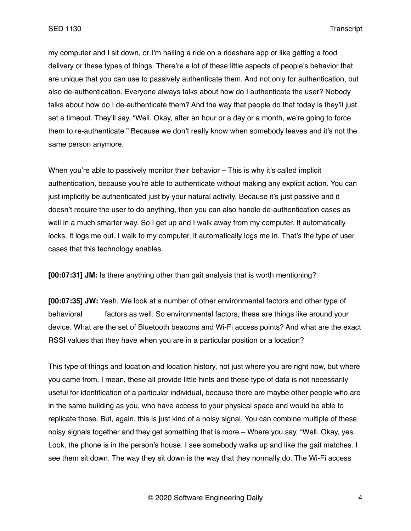my computer and I sit down, or I'm hailing a ride on a rideshare app or like getting a food delivery or these types of things. There're a lot of these little aspects of people's behavior that are unique that you can use to passively authenticate them. And not only for authentication, but also de-authentication. Everyone always talks about how do I authenticate the user? Nobody talks about how do I de-authenticate them? And the way that people do that today is they'll just set a timeout. They'll say, "Well. Okay, after an hour or a day or a month, we're going to force them to re-authenticate." Because we don't really know when somebody leaves and it's not the same person anymore.

When you're able to passively monitor their behavior – This is why it's called implicit authentication, because you're able to authenticate without making any explicit action. You can just implicitly be authenticated just by your natural activity. Because it's just passive and it doesn't require the user to do anything, then you can also handle de-authentication cases as well in a much smarter way. So I get up and I walk away from my computer. It automatically locks. It logs me out. I walk to my computer, it automatically logs me in. That's the type of user cases that this technology enables.

**[00:07:31] JM:** Is there anything other than gait analysis that is worth mentioning?

**[00:07:35] JW:** Yeah. We look at a number of other environmental factors and other type of behavioral factors as well. So environmental factors, these are things like around your device. What are the set of Bluetooth beacons and Wi-Fi access points? And what are the exact RSSI values that they have when you are in a particular position or a location?

This type of things and location and location history, not just where you are right now, but where you came from. I mean, these all provide little hints and these type of data is not necessarily useful for identification of a particular individual, because there are maybe other people who are in the same building as you, who have access to your physical space and would be able to replicate those. But, again, this is just kind of a noisy signal. You can combine multiple of these noisy signals together and they get something that is more – Where you say, "Well. Okay, yes. Look, the phone is in the person's house. I see somebody walks up and like the gait matches. I see them sit down. The way they sit down is the way that they normally do. The Wi-Fi access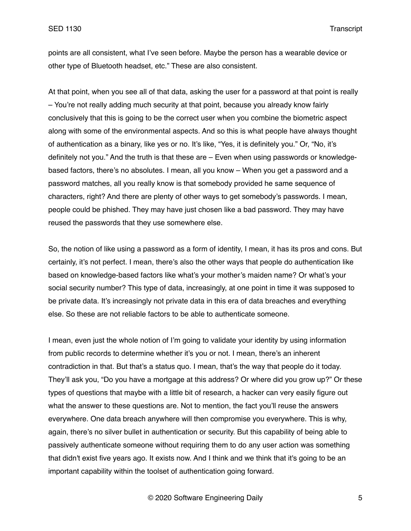points are all consistent, what I've seen before. Maybe the person has a wearable device or other type of Bluetooth headset, etc." These are also consistent.

At that point, when you see all of that data, asking the user for a password at that point is really – You're not really adding much security at that point, because you already know fairly conclusively that this is going to be the correct user when you combine the biometric aspect along with some of the environmental aspects. And so this is what people have always thought of authentication as a binary, like yes or no. It's like, "Yes, it is definitely you." Or, "No, it's definitely not you." And the truth is that these are – Even when using passwords or knowledgebased factors, there's no absolutes. I mean, all you know – When you get a password and a password matches, all you really know is that somebody provided he same sequence of characters, right? And there are plenty of other ways to get somebody's passwords. I mean, people could be phished. They may have just chosen like a bad password. They may have reused the passwords that they use somewhere else.

So, the notion of like using a password as a form of identity, I mean, it has its pros and cons. But certainly, it's not perfect. I mean, there's also the other ways that people do authentication like based on knowledge-based factors like what's your mother's maiden name? Or what's your social security number? This type of data, increasingly, at one point in time it was supposed to be private data. It's increasingly not private data in this era of data breaches and everything else. So these are not reliable factors to be able to authenticate someone.

I mean, even just the whole notion of I'm going to validate your identity by using information from public records to determine whether it's you or not. I mean, there's an inherent contradiction in that. But that's a status quo. I mean, that's the way that people do it today. They'll ask you, "Do you have a mortgage at this address? Or where did you grow up?" Or these types of questions that maybe with a little bit of research, a hacker can very easily figure out what the answer to these questions are. Not to mention, the fact you'll reuse the answers everywhere. One data breach anywhere will then compromise you everywhere. This is why, again, there's no silver bullet in authentication or security. But this capability of being able to passively authenticate someone without requiring them to do any user action was something that didn't exist five years ago. It exists now. And I think and we think that it's going to be an important capability within the toolset of authentication going forward.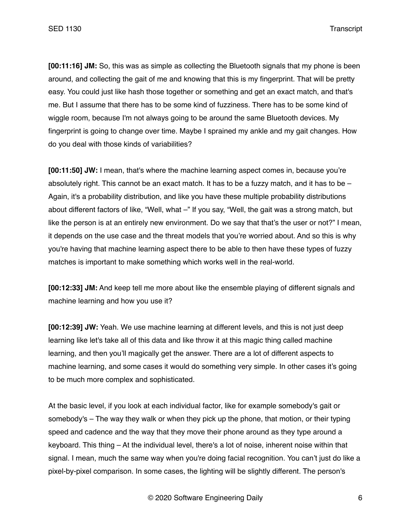**[00:11:16] JM:** So, this was as simple as collecting the Bluetooth signals that my phone is been around, and collecting the gait of me and knowing that this is my fingerprint. That will be pretty easy. You could just like hash those together or something and get an exact match, and that's me. But I assume that there has to be some kind of fuzziness. There has to be some kind of wiggle room, because I'm not always going to be around the same Bluetooth devices. My fingerprint is going to change over time. Maybe I sprained my ankle and my gait changes. How do you deal with those kinds of variabilities?

**[00:11:50] JW:** I mean, that's where the machine learning aspect comes in, because you're absolutely right. This cannot be an exact match. It has to be a fuzzy match, and it has to be  $-$ Again, it's a probability distribution, and like you have these multiple probability distributions about different factors of like, "Well, what -" If you say, "Well, the gait was a strong match, but like the person is at an entirely new environment. Do we say that that's the user or not?" I mean, it depends on the use case and the threat models that you're worried about. And so this is why you're having that machine learning aspect there to be able to then have these types of fuzzy matches is important to make something which works well in the real-world.

**[00:12:33] JM:** And keep tell me more about like the ensemble playing of different signals and machine learning and how you use it?

**[00:12:39] JW:** Yeah. We use machine learning at different levels, and this is not just deep learning like let's take all of this data and like throw it at this magic thing called machine learning, and then you'll magically get the answer. There are a lot of different aspects to machine learning, and some cases it would do something very simple. In other cases it's going to be much more complex and sophisticated.

At the basic level, if you look at each individual factor, like for example somebody's gait or somebody's – The way they walk or when they pick up the phone, that motion, or their typing speed and cadence and the way that they move their phone around as they type around a keyboard. This thing – At the individual level, there's a lot of noise, inherent noise within that signal. I mean, much the same way when you're doing facial recognition. You can't just do like a pixel-by-pixel comparison. In some cases, the lighting will be slightly different. The person's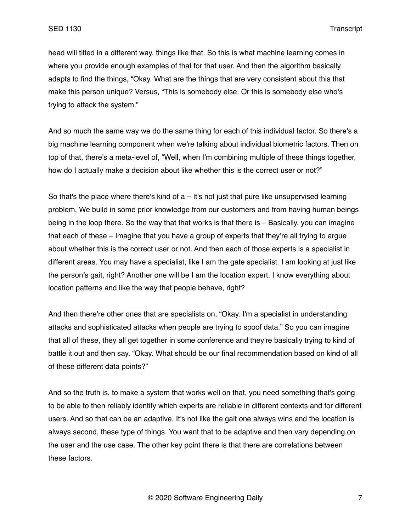head will tilted in a different way, things like that. So this is what machine learning comes in where you provide enough examples of that for that user. And then the algorithm basically adapts to find the things, "Okay. What are the things that are very consistent about this that make this person unique? Versus, "This is somebody else. Or this is somebody else who's trying to attack the system."

And so much the same way we do the same thing for each of this individual factor. So there's a big machine learning component when we're talking about individual biometric factors. Then on top of that, there's a meta-level of, "Well, when I'm combining multiple of these things together, how do I actually make a decision about like whether this is the correct user or not?"

So that's the place where there's kind of  $a - It's$  not just that pure like unsupervised learning problem. We build in some prior knowledge from our customers and from having human beings being in the loop there. So the way that that works is that there is – Basically, you can imagine that each of these – Imagine that you have a group of experts that they're all trying to argue about whether this is the correct user or not. And then each of those experts is a specialist in different areas. You may have a specialist, like I am the gate specialist. I am looking at just like the person's gait, right? Another one will be I am the location expert. I know everything about location patterns and like the way that people behave, right?

And then there're other ones that are specialists on, "Okay. I'm a specialist in understanding attacks and sophisticated attacks when people are trying to spoof data." So you can imagine that all of these, they all get together in some conference and they're basically trying to kind of battle it out and then say, "Okay. What should be our final recommendation based on kind of all of these different data points?"

And so the truth is, to make a system that works well on that, you need something that's going to be able to then reliably identify which experts are reliable in different contexts and for different users. And so that can be an adaptive. It's not like the gait one always wins and the location is always second, these type of things. You want that to be adaptive and then vary depending on the user and the use case. The other key point there is that there are correlations between these factors.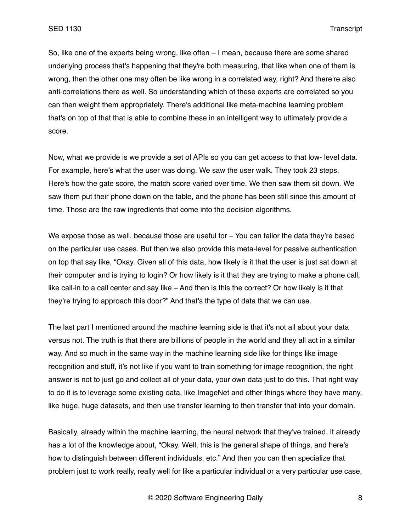So, like one of the experts being wrong, like often – I mean, because there are some shared underlying process that's happening that they're both measuring, that like when one of them is wrong, then the other one may often be like wrong in a correlated way, right? And there're also anti-correlations there as well. So understanding which of these experts are correlated so you can then weight them appropriately. There's additional like meta-machine learning problem that's on top of that that is able to combine these in an intelligent way to ultimately provide a score.

Now, what we provide is we provide a set of APIs so you can get access to that low- level data. For example, here's what the user was doing. We saw the user walk. They took 23 steps. Here's how the gate score, the match score varied over time. We then saw them sit down. We saw them put their phone down on the table, and the phone has been still since this amount of time. Those are the raw ingredients that come into the decision algorithms.

We expose those as well, because those are useful for - You can tailor the data they're based on the particular use cases. But then we also provide this meta-level for passive authentication on top that say like, "Okay. Given all of this data, how likely is it that the user is just sat down at their computer and is trying to login? Or how likely is it that they are trying to make a phone call, like call-in to a call center and say like – And then is this the correct? Or how likely is it that they're trying to approach this door?" And that's the type of data that we can use.

The last part I mentioned around the machine learning side is that it's not all about your data versus not. The truth is that there are billions of people in the world and they all act in a similar way. And so much in the same way in the machine learning side like for things like image recognition and stuff, it's not like if you want to train something for image recognition, the right answer is not to just go and collect all of your data, your own data just to do this. That right way to do it is to leverage some existing data, like ImageNet and other things where they have many, like huge, huge datasets, and then use transfer learning to then transfer that into your domain.

Basically, already within the machine learning, the neural network that they've trained. It already has a lot of the knowledge about, "Okay. Well, this is the general shape of things, and here's how to distinguish between different individuals, etc." And then you can then specialize that problem just to work really, really well for like a particular individual or a very particular use case,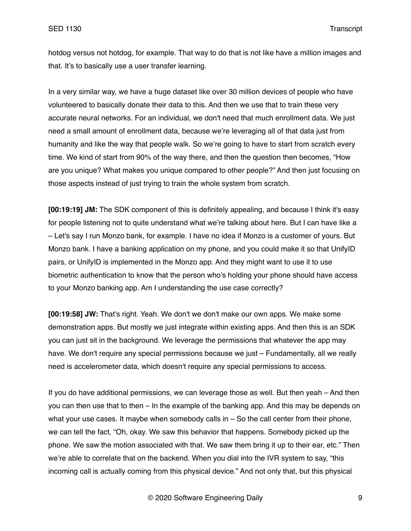hotdog versus not hotdog, for example. That way to do that is not like have a million images and that. It's to basically use a user transfer learning.

In a very similar way, we have a huge dataset like over 30 million devices of people who have volunteered to basically donate their data to this. And then we use that to train these very accurate neural networks. For an individual, we don't need that much enrollment data. We just need a small amount of enrollment data, because we're leveraging all of that data just from humanity and like the way that people walk. So we're going to have to start from scratch every time. We kind of start from 90% of the way there, and then the question then becomes, "How are you unique? What makes you unique compared to other people?" And then just focusing on those aspects instead of just trying to train the whole system from scratch.

**[00:19:19] JM:** The SDK component of this is definitely appealing, and because I think it's easy for people listening not to quite understand what we're talking about here. But I can have like a – Let's say I run Monzo bank, for example. I have no idea if Monzo is a customer of yours. But Monzo bank. I have a banking application on my phone, and you could make it so that UnifyID pairs, or UnifyID is implemented in the Monzo app. And they might want to use it to use biometric authentication to know that the person who's holding your phone should have access to your Monzo banking app. Am I understanding the use case correctly?

**[00:19:58] JW:** That's right. Yeah. We don't we don't make our own apps. We make some demonstration apps. But mostly we just integrate within existing apps. And then this is an SDK you can just sit in the background. We leverage the permissions that whatever the app may have. We don't require any special permissions because we just – Fundamentally, all we really need is accelerometer data, which doesn't require any special permissions to access.

If you do have additional permissions, we can leverage those as well. But then yeah – And then you can then use that to then – In the example of the banking app. And this may be depends on what your use cases. It maybe when somebody calls in  $-$  So the call center from their phone, we can tell the fact, "Oh, okay. We saw this behavior that happens. Somebody picked up the phone. We saw the motion associated with that. We saw them bring it up to their ear, etc." Then we're able to correlate that on the backend. When you dial into the IVR system to say, "this incoming call is actually coming from this physical device." And not only that, but this physical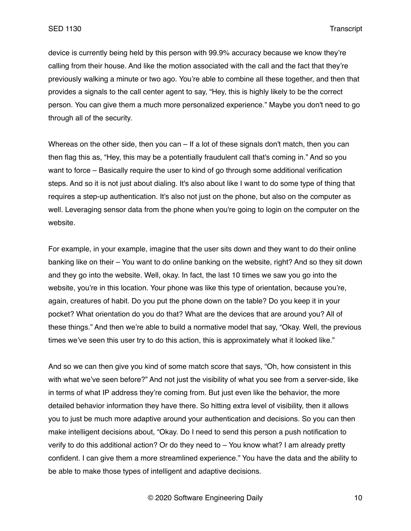device is currently being held by this person with 99.9% accuracy because we know they're calling from their house. And like the motion associated with the call and the fact that they're previously walking a minute or two ago. You're able to combine all these together, and then that provides a signals to the call center agent to say, "Hey, this is highly likely to be the correct person. You can give them a much more personalized experience." Maybe you don't need to go through all of the security.

Whereas on the other side, then you can – If a lot of these signals don't match, then you can then flag this as, "Hey, this may be a potentially fraudulent call that's coming in." And so you want to force – Basically require the user to kind of go through some additional verification steps. And so it is not just about dialing. It's also about like I want to do some type of thing that requires a step-up authentication. It's also not just on the phone, but also on the computer as well. Leveraging sensor data from the phone when you're going to login on the computer on the website.

For example, in your example, imagine that the user sits down and they want to do their online banking like on their – You want to do online banking on the website, right? And so they sit down and they go into the website. Well, okay. In fact, the last 10 times we saw you go into the website, you're in this location. Your phone was like this type of orientation, because you're, again, creatures of habit. Do you put the phone down on the table? Do you keep it in your pocket? What orientation do you do that? What are the devices that are around you? All of these things." And then we're able to build a normative model that say, "Okay. Well, the previous times we've seen this user try to do this action, this is approximately what it looked like."

And so we can then give you kind of some match score that says, "Oh, how consistent in this with what we've seen before?" And not just the visibility of what you see from a server-side, like in terms of what IP address they're coming from. But just even like the behavior, the more detailed behavior information they have there. So hitting extra level of visibility, then it allows you to just be much more adaptive around your authentication and decisions. So you can then make intelligent decisions about, "Okay. Do I need to send this person a push notification to verify to do this additional action? Or do they need to – You know what? I am already pretty confident. I can give them a more streamlined experience." You have the data and the ability to be able to make those types of intelligent and adaptive decisions.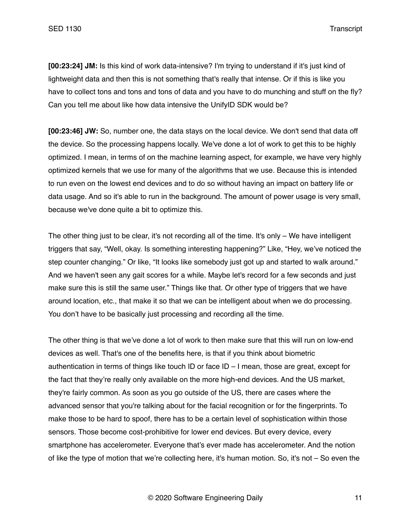**[00:23:24] JM:** Is this kind of work data-intensive? I'm trying to understand if it's just kind of lightweight data and then this is not something that's really that intense. Or if this is like you have to collect tons and tons and tons of data and you have to do munching and stuff on the fly? Can you tell me about like how data intensive the UnifyID SDK would be?

**[00:23:46] JW:** So, number one, the data stays on the local device. We don't send that data off the device. So the processing happens locally. We've done a lot of work to get this to be highly optimized. I mean, in terms of on the machine learning aspect, for example, we have very highly optimized kernels that we use for many of the algorithms that we use. Because this is intended to run even on the lowest end devices and to do so without having an impact on battery life or data usage. And so it's able to run in the background. The amount of power usage is very small, because we've done quite a bit to optimize this.

The other thing just to be clear, it's not recording all of the time. It's only – We have intelligent triggers that say, "Well, okay. Is something interesting happening?" Like, "Hey, we've noticed the step counter changing." Or like, "It looks like somebody just got up and started to walk around." And we haven't seen any gait scores for a while. Maybe let's record for a few seconds and just make sure this is still the same user." Things like that. Or other type of triggers that we have around location, etc., that make it so that we can be intelligent about when we do processing. You don't have to be basically just processing and recording all the time.

The other thing is that we've done a lot of work to then make sure that this will run on low-end devices as well. That's one of the benefits here, is that if you think about biometric authentication in terms of things like touch ID or face ID – I mean, those are great, except for the fact that they're really only available on the more high-end devices. And the US market, they're fairly common. As soon as you go outside of the US, there are cases where the advanced sensor that you're talking about for the facial recognition or for the fingerprints. To make those to be hard to spoof, there has to be a certain level of sophistication within those sensors. Those become cost-prohibitive for lower end devices. But every device, every smartphone has accelerometer. Everyone that's ever made has accelerometer. And the notion of like the type of motion that we're collecting here, it's human motion. So, it's not – So even the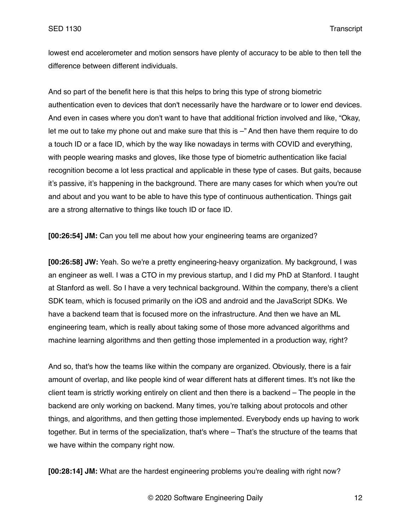lowest end accelerometer and motion sensors have plenty of accuracy to be able to then tell the difference between different individuals.

And so part of the benefit here is that this helps to bring this type of strong biometric authentication even to devices that don't necessarily have the hardware or to lower end devices. And even in cases where you don't want to have that additional friction involved and like, "Okay, let me out to take my phone out and make sure that this is –" And then have them require to do a touch ID or a face ID, which by the way like nowadays in terms with COVID and everything, with people wearing masks and gloves, like those type of biometric authentication like facial recognition become a lot less practical and applicable in these type of cases. But gaits, because it's passive, it's happening in the background. There are many cases for which when you're out and about and you want to be able to have this type of continuous authentication. Things gait are a strong alternative to things like touch ID or face ID.

**[00:26:54] JM:** Can you tell me about how your engineering teams are organized?

**[00:26:58] JW:** Yeah. So we're a pretty engineering-heavy organization. My background, I was an engineer as well. I was a CTO in my previous startup, and I did my PhD at Stanford. I taught at Stanford as well. So I have a very technical background. Within the company, there's a client SDK team, which is focused primarily on the iOS and android and the JavaScript SDKs. We have a backend team that is focused more on the infrastructure. And then we have an ML engineering team, which is really about taking some of those more advanced algorithms and machine learning algorithms and then getting those implemented in a production way, right?

And so, that's how the teams like within the company are organized. Obviously, there is a fair amount of overlap, and like people kind of wear different hats at different times. It's not like the client team is strictly working entirely on client and then there is a backend – The people in the backend are only working on backend. Many times, you're talking about protocols and other things, and algorithms, and then getting those implemented. Everybody ends up having to work together. But in terms of the specialization, that's where – That's the structure of the teams that we have within the company right now.

**[00:28:14] JM:** What are the hardest engineering problems you're dealing with right now?

© 2020 Software Engineering Daily 12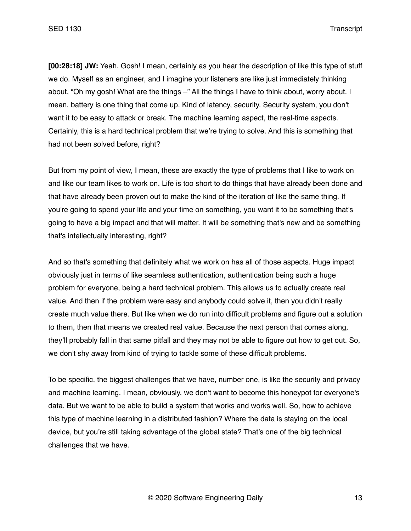**[00:28:18] JW:** Yeah. Gosh! I mean, certainly as you hear the description of like this type of stuff we do. Myself as an engineer, and I imagine your listeners are like just immediately thinking about, "Oh my gosh! What are the things –" All the things I have to think about, worry about. I mean, battery is one thing that come up. Kind of latency, security. Security system, you don't want it to be easy to attack or break. The machine learning aspect, the real-time aspects. Certainly, this is a hard technical problem that we're trying to solve. And this is something that had not been solved before, right?

But from my point of view, I mean, these are exactly the type of problems that I like to work on and like our team likes to work on. Life is too short to do things that have already been done and that have already been proven out to make the kind of the iteration of like the same thing. If you're going to spend your life and your time on something, you want it to be something that's going to have a big impact and that will matter. It will be something that's new and be something that's intellectually interesting, right?

And so that's something that definitely what we work on has all of those aspects. Huge impact obviously just in terms of like seamless authentication, authentication being such a huge problem for everyone, being a hard technical problem. This allows us to actually create real value. And then if the problem were easy and anybody could solve it, then you didn't really create much value there. But like when we do run into difficult problems and figure out a solution to them, then that means we created real value. Because the next person that comes along, they'll probably fall in that same pitfall and they may not be able to figure out how to get out. So, we don't shy away from kind of trying to tackle some of these difficult problems.

To be specific, the biggest challenges that we have, number one, is like the security and privacy and machine learning. I mean, obviously, we don't want to become this honeypot for everyone's data. But we want to be able to build a system that works and works well. So, how to achieve this type of machine learning in a distributed fashion? Where the data is staying on the local device, but you're still taking advantage of the global state? That's one of the big technical challenges that we have.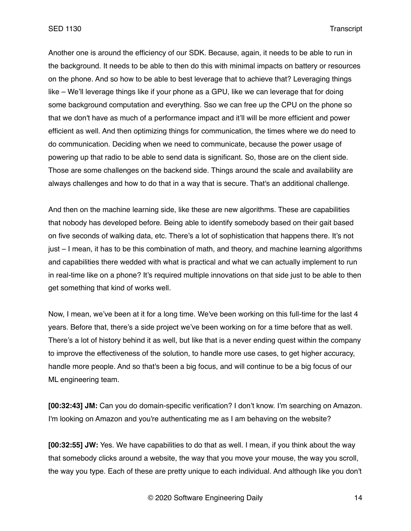Another one is around the efficiency of our SDK. Because, again, it needs to be able to run in the background. It needs to be able to then do this with minimal impacts on battery or resources on the phone. And so how to be able to best leverage that to achieve that? Leveraging things like – We'll leverage things like if your phone as a GPU, like we can leverage that for doing some background computation and everything. Sso we can free up the CPU on the phone so that we don't have as much of a performance impact and it'll will be more efficient and power efficient as well. And then optimizing things for communication, the times where we do need to do communication. Deciding when we need to communicate, because the power usage of powering up that radio to be able to send data is significant. So, those are on the client side. Those are some challenges on the backend side. Things around the scale and availability are always challenges and how to do that in a way that is secure. That's an additional challenge.

And then on the machine learning side, like these are new algorithms. These are capabilities that nobody has developed before. Being able to identify somebody based on their gait based on five seconds of walking data, etc. There's a lot of sophistication that happens there. It's not just – I mean, it has to be this combination of math, and theory, and machine learning algorithms and capabilities there wedded with what is practical and what we can actually implement to run in real-time like on a phone? It's required multiple innovations on that side just to be able to then get something that kind of works well.

Now, I mean, we've been at it for a long time. We've been working on this full-time for the last 4 years. Before that, there's a side project we've been working on for a time before that as well. There's a lot of history behind it as well, but like that is a never ending quest within the company to improve the effectiveness of the solution, to handle more use cases, to get higher accuracy, handle more people. And so that's been a big focus, and will continue to be a big focus of our ML engineering team.

**[00:32:43] JM:** Can you do domain-specific verification? I don't know. I'm searching on Amazon. I'm looking on Amazon and you're authenticating me as I am behaving on the website?

**[00:32:55] JW:** Yes. We have capabilities to do that as well. I mean, if you think about the way that somebody clicks around a website, the way that you move your mouse, the way you scroll, the way you type. Each of these are pretty unique to each individual. And although like you don't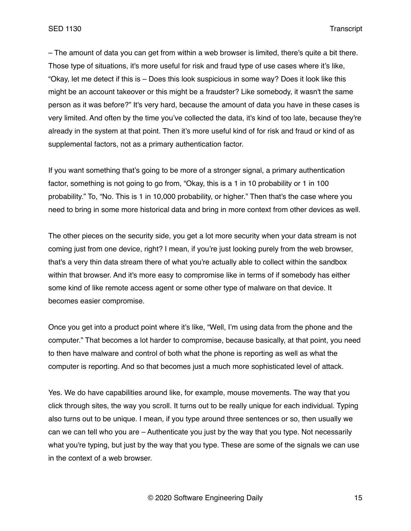– The amount of data you can get from within a web browser is limited, there's quite a bit there. Those type of situations, it's more useful for risk and fraud type of use cases where it's like, "Okay, let me detect if this is – Does this look suspicious in some way? Does it look like this might be an account takeover or this might be a fraudster? Like somebody, it wasn't the same person as it was before?" It's very hard, because the amount of data you have in these cases is very limited. And often by the time you've collected the data, it's kind of too late, because they're already in the system at that point. Then it's more useful kind of for risk and fraud or kind of as supplemental factors, not as a primary authentication factor.

If you want something that's going to be more of a stronger signal, a primary authentication factor, something is not going to go from, "Okay, this is a 1 in 10 probability or 1 in 100 probability." To, "No. This is 1 in 10,000 probability, or higher." Then that's the case where you need to bring in some more historical data and bring in more context from other devices as well.

The other pieces on the security side, you get a lot more security when your data stream is not coming just from one device, right? I mean, if you're just looking purely from the web browser, that's a very thin data stream there of what you're actually able to collect within the sandbox within that browser. And it's more easy to compromise like in terms of if somebody has either some kind of like remote access agent or some other type of malware on that device. It becomes easier compromise.

Once you get into a product point where it's like, "Well, I'm using data from the phone and the computer." That becomes a lot harder to compromise, because basically, at that point, you need to then have malware and control of both what the phone is reporting as well as what the computer is reporting. And so that becomes just a much more sophisticated level of attack.

Yes. We do have capabilities around like, for example, mouse movements. The way that you click through sites, the way you scroll. It turns out to be really unique for each individual. Typing also turns out to be unique. I mean, if you type around three sentences or so, then usually we can we can tell who you are – Authenticate you just by the way that you type. Not necessarily what you're typing, but just by the way that you type. These are some of the signals we can use in the context of a web browser.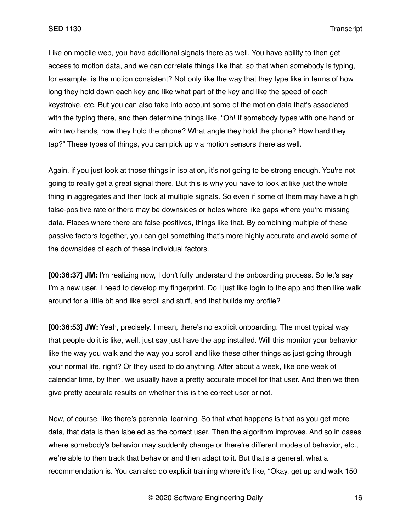Like on mobile web, you have additional signals there as well. You have ability to then get access to motion data, and we can correlate things like that, so that when somebody is typing, for example, is the motion consistent? Not only like the way that they type like in terms of how long they hold down each key and like what part of the key and like the speed of each keystroke, etc. But you can also take into account some of the motion data that's associated with the typing there, and then determine things like, "Oh! If somebody types with one hand or with two hands, how they hold the phone? What angle they hold the phone? How hard they tap?" These types of things, you can pick up via motion sensors there as well.

Again, if you just look at those things in isolation, it's not going to be strong enough. You're not going to really get a great signal there. But this is why you have to look at like just the whole thing in aggregates and then look at multiple signals. So even if some of them may have a high false-positive rate or there may be downsides or holes where like gaps where you're missing data. Places where there are false-positives, things like that. By combining multiple of these passive factors together, you can get something that's more highly accurate and avoid some of the downsides of each of these individual factors.

**[00:36:37] JM:** I'm realizing now, I don't fully understand the onboarding process. So let's say I'm a new user. I need to develop my fingerprint. Do I just like login to the app and then like walk around for a little bit and like scroll and stuff, and that builds my profile?

**[00:36:53] JW:** Yeah, precisely. I mean, there's no explicit onboarding. The most typical way that people do it is like, well, just say just have the app installed. Will this monitor your behavior like the way you walk and the way you scroll and like these other things as just going through your normal life, right? Or they used to do anything. After about a week, like one week of calendar time, by then, we usually have a pretty accurate model for that user. And then we then give pretty accurate results on whether this is the correct user or not.

Now, of course, like there's perennial learning. So that what happens is that as you get more data, that data is then labeled as the correct user. Then the algorithm improves. And so in cases where somebody's behavior may suddenly change or there're different modes of behavior, etc., we're able to then track that behavior and then adapt to it. But that's a general, what a recommendation is. You can also do explicit training where it's like, "Okay, get up and walk 150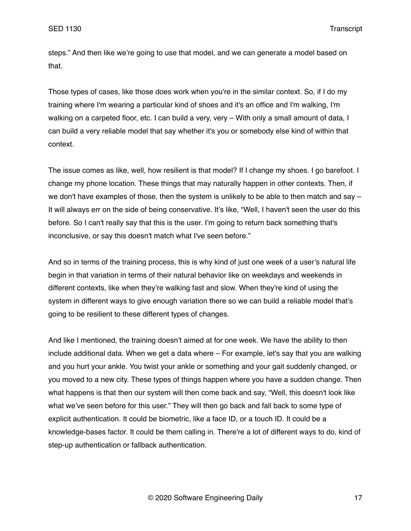steps." And then like we're going to use that model, and we can generate a model based on that.

Those types of cases, like those does work when you're in the similar context. So, if I do my training where I'm wearing a particular kind of shoes and it's an office and I'm walking, I'm walking on a carpeted floor, etc. I can build a very, very - With only a small amount of data, I can build a very reliable model that say whether it's you or somebody else kind of within that context.

The issue comes as like, well, how resilient is that model? If I change my shoes. I go barefoot. I change my phone location. These things that may naturally happen in other contexts. Then, if we don't have examples of those, then the system is unlikely to be able to then match and say  $-$ It will always err on the side of being conservative. It's like, "Well, I haven't seen the user do this before. So I can't really say that this is the user. I'm going to return back something that's inconclusive, or say this doesn't match what I've seen before."

And so in terms of the training process, this is why kind of just one week of a user's natural life begin in that variation in terms of their natural behavior like on weekdays and weekends in different contexts, like when they're walking fast and slow. When they're kind of using the system in different ways to give enough variation there so we can build a reliable model that's going to be resilient to these different types of changes.

And like I mentioned, the training doesn't aimed at for one week. We have the ability to then include additional data. When we get a data where – For example, let's say that you are walking and you hurt your ankle. You twist your ankle or something and your gait suddenly changed, or you moved to a new city. These types of things happen where you have a sudden change. Then what happens is that then our system will then come back and say, "Well, this doesn't look like what we've seen before for this user." They will then go back and fall back to some type of explicit authentication. It could be biometric, like a face ID, or a touch ID. It could be a knowledge-bases factor. It could be them calling in. There're a lot of different ways to do, kind of step-up authentication or fallback authentication.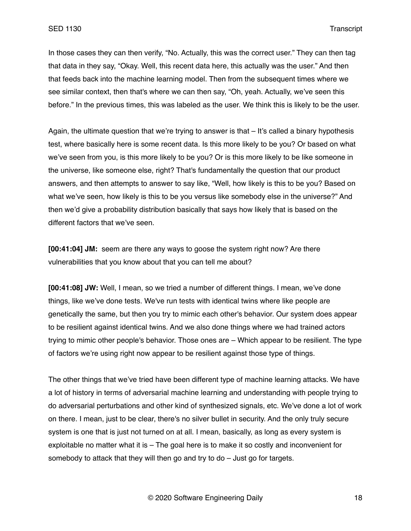In those cases they can then verify, "No. Actually, this was the correct user." They can then tag that data in they say, "Okay. Well, this recent data here, this actually was the user." And then that feeds back into the machine learning model. Then from the subsequent times where we see similar context, then that's where we can then say, "Oh, yeah. Actually, we've seen this before." In the previous times, this was labeled as the user. We think this is likely to be the user.

Again, the ultimate question that we're trying to answer is that – It's called a binary hypothesis test, where basically here is some recent data. Is this more likely to be you? Or based on what we've seen from you, is this more likely to be you? Or is this more likely to be like someone in the universe, like someone else, right? That's fundamentally the question that our product answers, and then attempts to answer to say like, "Well, how likely is this to be you? Based on what we've seen, how likely is this to be you versus like somebody else in the universe?" And then we'd give a probability distribution basically that says how likely that is based on the different factors that we've seen.

**[00:41:04] JM:** seem are there any ways to goose the system right now? Are there vulnerabilities that you know about that you can tell me about?

**[00:41:08] JW:** Well, I mean, so we tried a number of different things. I mean, we've done things, like we've done tests. We've run tests with identical twins where like people are genetically the same, but then you try to mimic each other's behavior. Our system does appear to be resilient against identical twins. And we also done things where we had trained actors trying to mimic other people's behavior. Those ones are – Which appear to be resilient. The type of factors we're using right now appear to be resilient against those type of things.

The other things that we've tried have been different type of machine learning attacks. We have a lot of history in terms of adversarial machine learning and understanding with people trying to do adversarial perturbations and other kind of synthesized signals, etc. We've done a lot of work on there. I mean, just to be clear, there's no silver bullet in security. And the only truly secure system is one that is just not turned on at all. I mean, basically, as long as every system is exploitable no matter what it is – The goal here is to make it so costly and inconvenient for somebody to attack that they will then go and try to do – Just go for targets.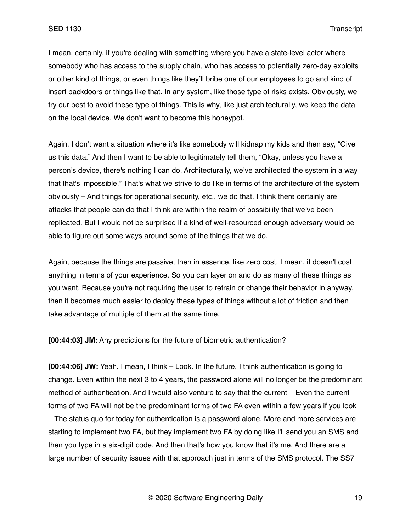I mean, certainly, if you're dealing with something where you have a state-level actor where somebody who has access to the supply chain, who has access to potentially zero-day exploits or other kind of things, or even things like they'll bribe one of our employees to go and kind of insert backdoors or things like that. In any system, like those type of risks exists. Obviously, we try our best to avoid these type of things. This is why, like just architecturally, we keep the data on the local device. We don't want to become this honeypot.

Again, I don't want a situation where it's like somebody will kidnap my kids and then say, "Give us this data." And then I want to be able to legitimately tell them, "Okay, unless you have a person's device, there's nothing I can do. Architecturally, we've architected the system in a way that that's impossible." That's what we strive to do like in terms of the architecture of the system obviously – And things for operational security, etc., we do that. I think there certainly are attacks that people can do that I think are within the realm of possibility that we've been replicated. But I would not be surprised if a kind of well-resourced enough adversary would be able to figure out some ways around some of the things that we do.

Again, because the things are passive, then in essence, like zero cost. I mean, it doesn't cost anything in terms of your experience. So you can layer on and do as many of these things as you want. Because you're not requiring the user to retrain or change their behavior in anyway, then it becomes much easier to deploy these types of things without a lot of friction and then take advantage of multiple of them at the same time.

**[00:44:03] JM:** Any predictions for the future of biometric authentication?

**[00:44:06] JW:** Yeah. I mean, I think – Look. In the future, I think authentication is going to change. Even within the next 3 to 4 years, the password alone will no longer be the predominant method of authentication. And I would also venture to say that the current – Even the current forms of two FA will not be the predominant forms of two FA even within a few years if you look – The status quo for today for authentication is a password alone. More and more services are starting to implement two FA, but they implement two FA by doing like I'll send you an SMS and then you type in a six-digit code. And then that's how you know that it's me. And there are a large number of security issues with that approach just in terms of the SMS protocol. The SS7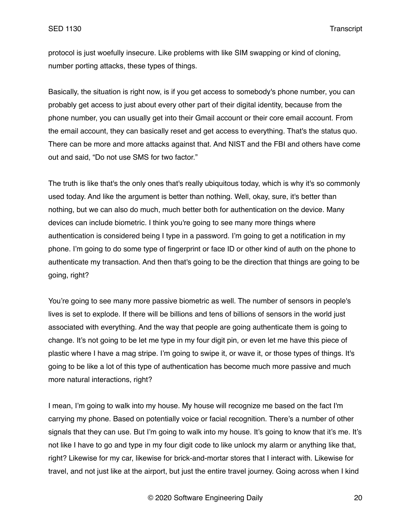protocol is just woefully insecure. Like problems with like SIM swapping or kind of cloning, number porting attacks, these types of things.

Basically, the situation is right now, is if you get access to somebody's phone number, you can probably get access to just about every other part of their digital identity, because from the phone number, you can usually get into their Gmail account or their core email account. From the email account, they can basically reset and get access to everything. That's the status quo. There can be more and more attacks against that. And NIST and the FBI and others have come out and said, "Do not use SMS for two factor."

The truth is like that's the only ones that's really ubiquitous today, which is why it's so commonly used today. And like the argument is better than nothing. Well, okay, sure, it's better than nothing, but we can also do much, much better both for authentication on the device. Many devices can include biometric. I think you're going to see many more things where authentication is considered being I type in a password. I'm going to get a notification in my phone. I'm going to do some type of fingerprint or face ID or other kind of auth on the phone to authenticate my transaction. And then that's going to be the direction that things are going to be going, right?

You're going to see many more passive biometric as well. The number of sensors in people's lives is set to explode. If there will be billions and tens of billions of sensors in the world just associated with everything. And the way that people are going authenticate them is going to change. It's not going to be let me type in my four digit pin, or even let me have this piece of plastic where I have a mag stripe. I'm going to swipe it, or wave it, or those types of things. It's going to be like a lot of this type of authentication has become much more passive and much more natural interactions, right?

I mean, I'm going to walk into my house. My house will recognize me based on the fact I'm carrying my phone. Based on potentially voice or facial recognition. There's a number of other signals that they can use. But I'm going to walk into my house. It's going to know that it's me. It's not like I have to go and type in my four digit code to like unlock my alarm or anything like that, right? Likewise for my car, likewise for brick-and-mortar stores that I interact with. Likewise for travel, and not just like at the airport, but just the entire travel journey. Going across when I kind